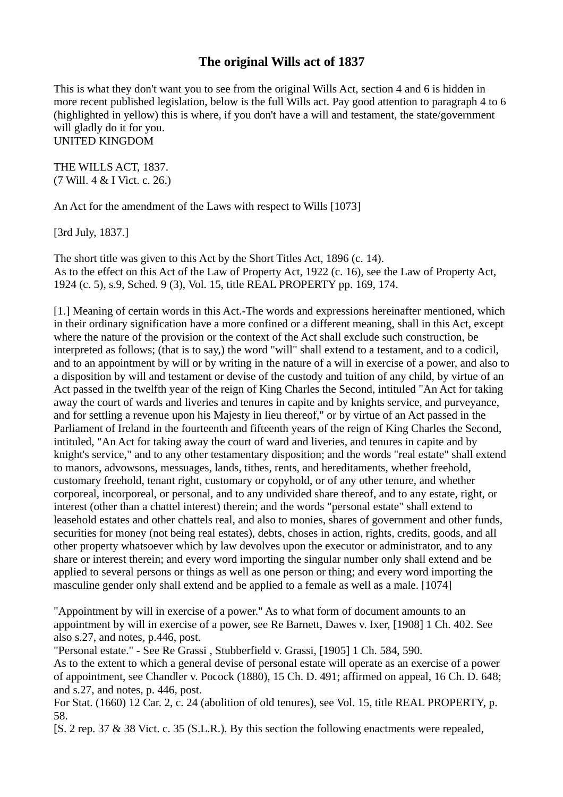# **The original Wills act of 1837**

This is what they don't want you to see from the original Wills Act, section 4 and 6 is hidden in more recent published legislation, below is the full Wills act. Pay good attention to paragraph 4 to 6 (highlighted in yellow) this is where, if you don't have a will and testament, the state/government will gladly do it for you. UNITED KINGDOM

THE WILLS ACT, 1837. (7 Will. 4 & I Vict. c. 26.)

An Act for the amendment of the Laws with respect to Wills [1073]

[3rd July, 1837.]

The short title was given to this Act by the Short Titles Act, 1896 (c. 14). As to the effect on this Act of the Law of Property Act, 1922 (c. 16), see the Law of Property Act, 1924 (c. 5), s.9, Sched. 9 (3), Vol. 15, title REAL PROPERTY pp. 169, 174.

[1.] Meaning of certain words in this Act.-The words and expressions hereinafter mentioned, which in their ordinary signification have a more confined or a different meaning, shall in this Act, except where the nature of the provision or the context of the Act shall exclude such construction, be interpreted as follows; (that is to say,) the word "will" shall extend to a testament, and to a codicil, and to an appointment by will or by writing in the nature of a will in exercise of a power, and also to a disposition by will and testament or devise of the custody and tuition of any child, by virtue of an Act passed in the twelfth year of the reign of King Charles the Second, intituled "An Act for taking away the court of wards and liveries and tenures in capite and by knights service, and purveyance, and for settling a revenue upon his Majesty in lieu thereof," or by virtue of an Act passed in the Parliament of Ireland in the fourteenth and fifteenth years of the reign of King Charles the Second, intituled, "An Act for taking away the court of ward and liveries, and tenures in capite and by knight's service," and to any other testamentary disposition; and the words "real estate" shall extend to manors, advowsons, messuages, lands, tithes, rents, and hereditaments, whether freehold, customary freehold, tenant right, customary or copyhold, or of any other tenure, and whether corporeal, incorporeal, or personal, and to any undivided share thereof, and to any estate, right, or interest (other than a chattel interest) therein; and the words "personal estate" shall extend to leasehold estates and other chattels real, and also to monies, shares of government and other funds, securities for money (not being real estates), debts, choses in action, rights, credits, goods, and all other property whatsoever which by law devolves upon the executor or administrator, and to any share or interest therein; and every word importing the singular number only shall extend and be applied to several persons or things as well as one person or thing; and every word importing the masculine gender only shall extend and be applied to a female as well as a male. [1074]

"Appointment by will in exercise of a power." As to what form of document amounts to an appointment by will in exercise of a power, see Re Barnett, Dawes v. Ixer, [1908] 1 Ch. 402. See also s.27, and notes, p.446, post.

"Personal estate." - See Re Grassi , Stubberfield v. Grassi, [1905] 1 Ch. 584, 590. As to the extent to which a general devise of personal estate will operate as an exercise of a power of appointment, see Chandler v. Pocock (1880), 15 Ch. D. 491; affirmed on appeal, 16 Ch. D. 648; and s.27, and notes, p. 446, post.

For Stat. (1660) 12 Car. 2, c. 24 (abolition of old tenures), see Vol. 15, title REAL PROPERTY, p. 58.

[S. 2 rep. 37 & 38 Vict. c. 35 (S.L.R.). By this section the following enactments were repealed,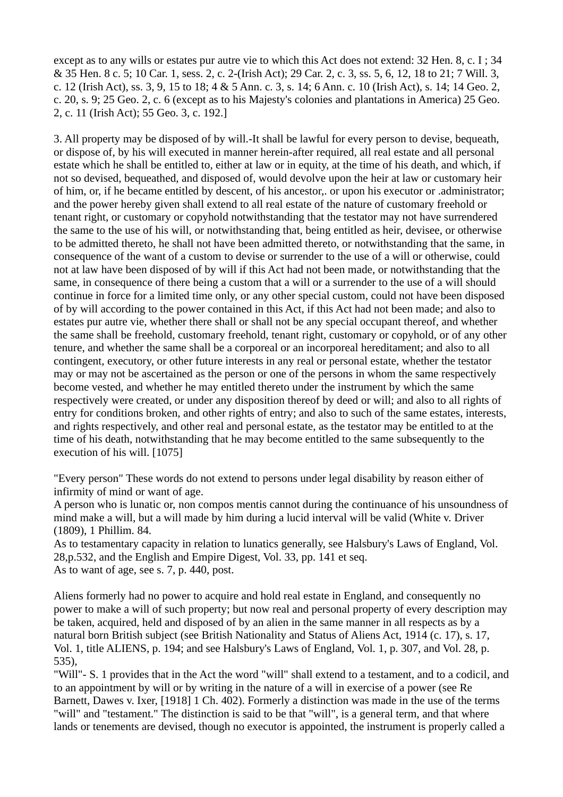except as to any wills or estates pur autre vie to which this Act does not extend: 32 Hen. 8, c. I ; 34 & 35 Hen. 8 c. 5; 10 Car. 1, sess. 2, c. 2-(Irish Act); 29 Car. 2, c. 3, ss. 5, 6, 12, 18 to 21; 7 Will. 3, c. 12 (Irish Act), ss. 3, 9, 15 to 18; 4 & 5 Ann. c. 3, s. 14; 6 Ann. c. 10 (Irish Act), s. 14; 14 Geo. 2, c. 20, s. 9; 25 Geo. 2, c. 6 (except as to his Majesty's colonies and plantations in America) 25 Geo. 2, c. 11 (Irish Act); 55 Geo. 3, c. 192.]

3. All property may be disposed of by will.-It shall be lawful for every person to devise, bequeath, or dispose of, by his will executed in manner herein-after required, all real estate and all personal estate which he shall be entitled to, either at law or in equity, at the time of his death, and which, if not so devised, bequeathed, and disposed of, would devolve upon the heir at law or customary heir of him, or, if he became entitled by descent, of his ancestor,. or upon his executor or .administrator; and the power hereby given shall extend to all real estate of the nature of customary freehold or tenant right, or customary or copyhold notwithstanding that the testator may not have surrendered the same to the use of his will, or notwithstanding that, being entitled as heir, devisee, or otherwise to be admitted thereto, he shall not have been admitted thereto, or notwithstanding that the same, in consequence of the want of a custom to devise or surrender to the use of a will or otherwise, could not at law have been disposed of by will if this Act had not been made, or notwithstanding that the same, in consequence of there being a custom that a will or a surrender to the use of a will should continue in force for a limited time only, or any other special custom, could not have been disposed of by will according to the power contained in this Act, if this Act had not been made; and also to estates pur autre vie, whether there shall or shall not be any special occupant thereof, and whether the same shall be freehold, customary freehold, tenant right, customary or copyhold, or of any other tenure, and whether the same shall be a corporeal or an incorporeal hereditament; and also to all contingent, executory, or other future interests in any real or personal estate, whether the testator may or may not be ascertained as the person or one of the persons in whom the same respectively become vested, and whether he may entitled thereto under the instrument by which the same respectively were created, or under any disposition thereof by deed or will; and also to all rights of entry for conditions broken, and other rights of entry; and also to such of the same estates, interests, and rights respectively, and other real and personal estate, as the testator may be entitled to at the time of his death, notwithstanding that he may become entitled to the same subsequently to the execution of his will. [1075]

"Every person" These words do not extend to persons under legal disability by reason either of infirmity of mind or want of age.

A person who is lunatic or, non compos mentis cannot during the continuance of his unsoundness of mind make a will, but a will made by him during a lucid interval will be valid (White v. Driver (1809), 1 Phillim. 84.

As to testamentary capacity in relation to lunatics generally, see Halsbury's Laws of England, Vol. 28,p.532, and the English and Empire Digest, Vol. 33, pp. 141 et seq. As to want of age, see s. 7, p. 440, post.

Aliens formerly had no power to acquire and hold real estate in England, and consequently no power to make a will of such property; but now real and personal property of every description may be taken, acquired, held and disposed of by an alien in the same manner in all respects as by a natural born British subject (see British Nationality and Status of Aliens Act, 1914 (c. 17), s. 17, Vol. 1, title ALIENS, p. 194; and see Halsbury's Laws of England, Vol. 1, p. 307, and Vol. 28, p. 535),

"Will"- S. 1 provides that in the Act the word "will" shall extend to a testament, and to a codicil, and to an appointment by will or by writing in the nature of a will in exercise of a power (see Re Barnett, Dawes v. Ixer, [1918] 1 Ch. 402). Formerly a distinction was made in the use of the terms "will" and "testament." The distinction is said to be that "will", is a general term, and that where lands or tenements are devised, though no executor is appointed, the instrument is properly called a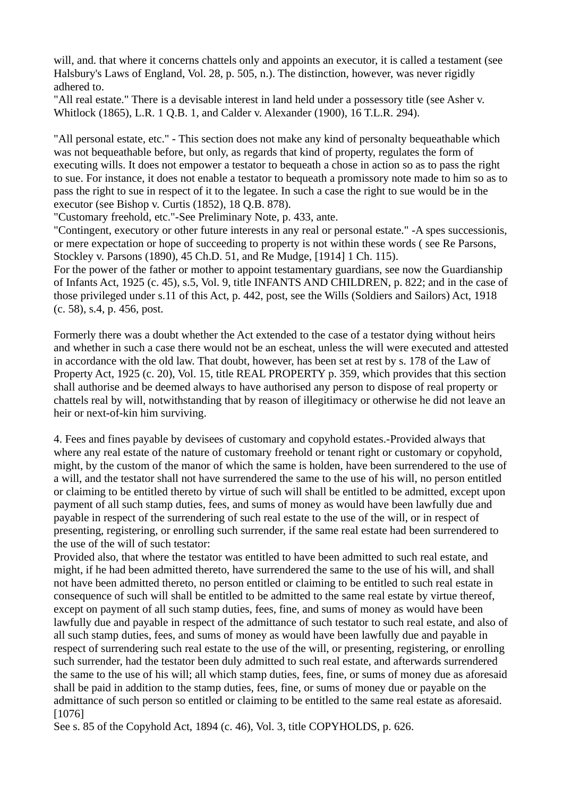will, and. that where it concerns chattels only and appoints an executor, it is called a testament (see Halsbury's Laws of England, Vol. 28, p. 505, n.). The distinction, however, was never rigidly adhered to.

"All real estate." There is a devisable interest in land held under a possessory title (see Asher v. Whitlock (1865), L.R. 1 Q.B. 1, and Calder v. Alexander (1900), 16 T.L.R. 294).

"All personal estate, etc." - This section does not make any kind of personalty bequeathable which was not bequeathable before, but only, as regards that kind of property, regulates the form of executing wills. It does not empower a testator to bequeath a chose in action so as to pass the right to sue. For instance, it does not enable a testator to bequeath a promissory note made to him so as to pass the right to sue in respect of it to the legatee. In such a case the right to sue would be in the executor (see Bishop v. Curtis (1852), 18 Q.B. 878).

"Customary freehold, etc."-See Preliminary Note, p. 433, ante.

"Contingent, executory or other future interests in any real or personal estate." -A spes successionis, or mere expectation or hope of succeeding to property is not within these words ( see Re Parsons, Stockley v. Parsons (1890), 45 Ch.D. 51, and Re Mudge, [1914] 1 Ch. 115).

For the power of the father or mother to appoint testamentary guardians, see now the Guardianship of Infants Act, 1925 (c. 45), s.5, Vol. 9, title INFANTS AND CHILDREN, p. 822; and in the case of those privileged under s.11 of this Act, p. 442, post, see the Wills (Soldiers and Sailors) Act, 1918 (c. 58), s.4, p. 456, post.

Formerly there was a doubt whether the Act extended to the case of a testator dying without heirs and whether in such a case there would not be an escheat, unless the will were executed and attested in accordance with the old law. That doubt, however, has been set at rest by s. 178 of the Law of Property Act, 1925 (c. 20), Vol. 15, title REAL PROPERTY p. 359, which provides that this section shall authorise and be deemed always to have authorised any person to dispose of real property or chattels real by will, notwithstanding that by reason of illegitimacy or otherwise he did not leave an heir or next-of-kin him surviving.

4. Fees and fines payable by devisees of customary and copyhold estates.-Provided always that where any real estate of the nature of customary freehold or tenant right or customary or copyhold, might, by the custom of the manor of which the same is holden, have been surrendered to the use of a will, and the testator shall not have surrendered the same to the use of his will, no person entitled or claiming to be entitled thereto by virtue of such will shall be entitled to be admitted, except upon payment of all such stamp duties, fees, and sums of money as would have been lawfully due and payable in respect of the surrendering of such real estate to the use of the will, or in respect of presenting, registering, or enrolling such surrender, if the same real estate had been surrendered to the use of the will of such testator:

Provided also, that where the testator was entitled to have been admitted to such real estate, and might, if he had been admitted thereto, have surrendered the same to the use of his will, and shall not have been admitted thereto, no person entitled or claiming to be entitled to such real estate in consequence of such will shall be entitled to be admitted to the same real estate by virtue thereof, except on payment of all such stamp duties, fees, fine, and sums of money as would have been lawfully due and payable in respect of the admittance of such testator to such real estate, and also of all such stamp duties, fees, and sums of money as would have been lawfully due and payable in respect of surrendering such real estate to the use of the will, or presenting, registering, or enrolling such surrender, had the testator been duly admitted to such real estate, and afterwards surrendered the same to the use of his will; all which stamp duties, fees, fine, or sums of money due as aforesaid shall be paid in addition to the stamp duties, fees, fine, or sums of money due or payable on the admittance of such person so entitled or claiming to be entitled to the same real estate as aforesaid. [1076]

See s. 85 of the Copyhold Act, 1894 (c. 46), Vol. 3, title COPYHOLDS, p. 626.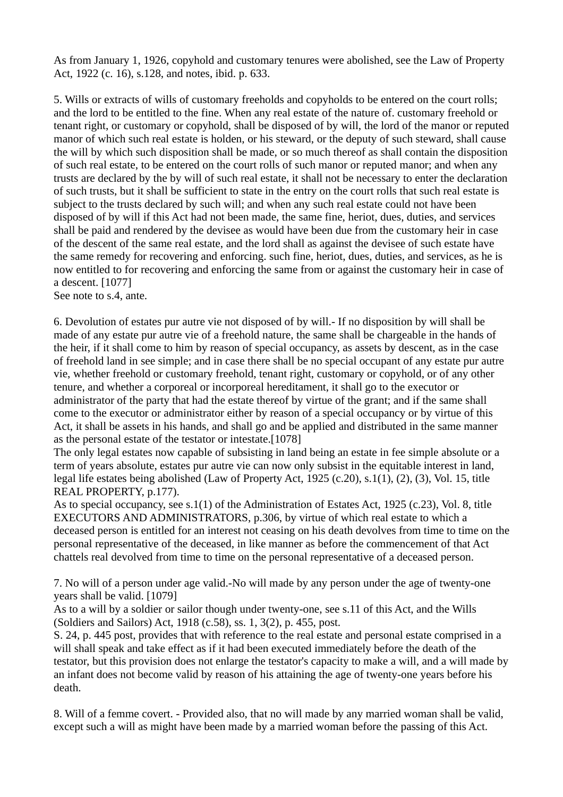As from January 1, 1926, copyhold and customary tenures were abolished, see the Law of Property Act, 1922 (c. 16), s.128, and notes, ibid. p. 633.

5. Wills or extracts of wills of customary freeholds and copyholds to be entered on the court rolls; and the lord to be entitled to the fine. When any real estate of the nature of. customary freehold or tenant right, or customary or copyhold, shall be disposed of by will, the lord of the manor or reputed manor of which such real estate is holden, or his steward, or the deputy of such steward, shall cause the will by which such disposition shall be made, or so much thereof as shall contain the disposition of such real estate, to be entered on the court rolls of such manor or reputed manor; and when any trusts are declared by the by will of such real estate, it shall not be necessary to enter the declaration of such trusts, but it shall be sufficient to state in the entry on the court rolls that such real estate is subject to the trusts declared by such will; and when any such real estate could not have been disposed of by will if this Act had not been made, the same fine, heriot, dues, duties, and services shall be paid and rendered by the devisee as would have been due from the customary heir in case of the descent of the same real estate, and the lord shall as against the devisee of such estate have the same remedy for recovering and enforcing. such fine, heriot, dues, duties, and services, as he is now entitled to for recovering and enforcing the same from or against the customary heir in case of a descent. [1077]

See note to s.4, ante.

6. Devolution of estates pur autre vie not disposed of by will.- If no disposition by will shall be made of any estate pur autre vie of a freehold nature, the same shall be chargeable in the hands of the heir, if it shall come to him by reason of special occupancy, as assets by descent, as in the case of freehold land in see simple; and in case there shall be no special occupant of any estate pur autre vie, whether freehold or customary freehold, tenant right, customary or copyhold, or of any other tenure, and whether a corporeal or incorporeal hereditament, it shall go to the executor or administrator of the party that had the estate thereof by virtue of the grant; and if the same shall come to the executor or administrator either by reason of a special occupancy or by virtue of this Act, it shall be assets in his hands, and shall go and be applied and distributed in the same manner as the personal estate of the testator or intestate.[1078]

The only legal estates now capable of subsisting in land being an estate in fee simple absolute or a term of years absolute, estates pur autre vie can now only subsist in the equitable interest in land, legal life estates being abolished (Law of Property Act, 1925 (c.20), s.1(1), (2), (3), Vol. 15, title REAL PROPERTY, p.177).

As to special occupancy, see s.1(1) of the Administration of Estates Act, 1925 (c.23), Vol. 8, title EXECUTORS AND ADMINISTRATORS, p.306, by virtue of which real estate to which a deceased person is entitled for an interest not ceasing on his death devolves from time to time on the personal representative of the deceased, in like manner as before the commencement of that Act chattels real devolved from time to time on the personal representative of a deceased person.

7. No will of a person under age valid.-No will made by any person under the age of twenty-one years shall be valid. [1079]

As to a will by a soldier or sailor though under twenty-one, see s.11 of this Act, and the Wills (Soldiers and Sailors) Act, 1918 (c.58), ss. 1, 3(2), p. 455, post.

S. 24, p. 445 post, provides that with reference to the real estate and personal estate comprised in a will shall speak and take effect as if it had been executed immediately before the death of the testator, but this provision does not enlarge the testator's capacity to make a will, and a will made by an infant does not become valid by reason of his attaining the age of twenty-one years before his death.

8. Will of a femme covert. - Provided also, that no will made by any married woman shall be valid, except such a will as might have been made by a married woman before the passing of this Act.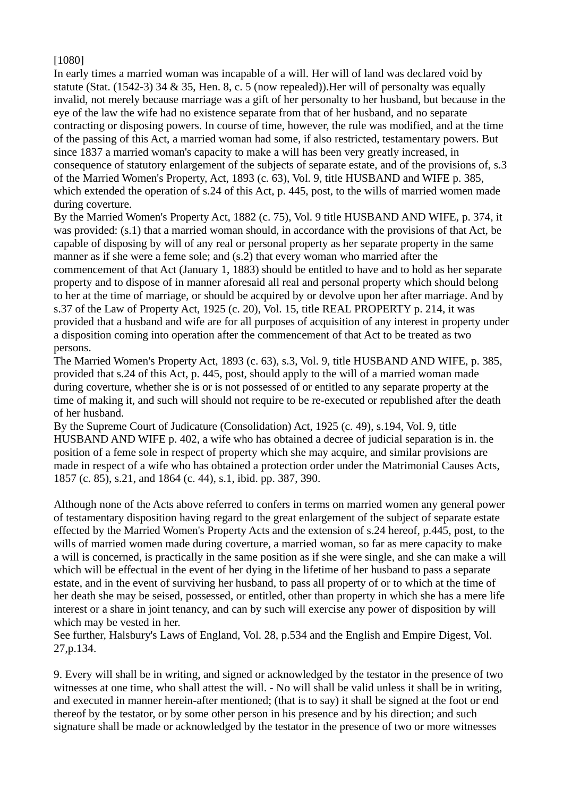## [1080]

In early times a married woman was incapable of a will. Her will of land was declared void by statute (Stat. (1542-3) 34 & 35, Hen. 8, c. 5 (now repealed)).Her will of personalty was equally invalid, not merely because marriage was a gift of her personalty to her husband, but because in the eye of the law the wife had no existence separate from that of her husband, and no separate contracting or disposing powers. In course of time, however, the rule was modified, and at the time of the passing of this Act, a married woman had some, if also restricted, testamentary powers. But since 1837 a married woman's capacity to make a will has been very greatly increased, in consequence of statutory enlargement of the subjects of separate estate, and of the provisions of, s.3 of the Married Women's Property, Act, 1893 (c. 63), Vol. 9, title HUSBAND and WIFE p. 385, which extended the operation of s.24 of this Act, p. 445, post, to the wills of married women made during coverture.

By the Married Women's Property Act, 1882 (c. 75), Vol. 9 title HUSBAND AND WIFE, p. 374, it was provided: (s.1) that a married woman should, in accordance with the provisions of that Act, be capable of disposing by will of any real or personal property as her separate property in the same manner as if she were a feme sole; and (s.2) that every woman who married after the commencement of that Act (January 1, 1883) should be entitled to have and to hold as her separate property and to dispose of in manner aforesaid all real and personal property which should belong to her at the time of marriage, or should be acquired by or devolve upon her after marriage. And by s.37 of the Law of Property Act, 1925 (c. 20), Vol. 15, title REAL PROPERTY p. 214, it was provided that a husband and wife are for all purposes of acquisition of any interest in property under a disposition coming into operation after the commencement of that Act to be treated as two persons.

The Married Women's Property Act, 1893 (c. 63), s.3, Vol. 9, title HUSBAND AND WIFE, p. 385, provided that s.24 of this Act, p. 445, post, should apply to the will of a married woman made during coverture, whether she is or is not possessed of or entitled to any separate property at the time of making it, and such will should not require to be re-executed or republished after the death of her husband.

By the Supreme Court of Judicature (Consolidation) Act, 1925 (c. 49), s.194, Vol. 9, title HUSBAND AND WIFE p. 402, a wife who has obtained a decree of judicial separation is in. the position of a feme sole in respect of property which she may acquire, and similar provisions are made in respect of a wife who has obtained a protection order under the Matrimonial Causes Acts, 1857 (c. 85), s.21, and 1864 (c. 44), s.1, ibid. pp. 387, 390.

Although none of the Acts above referred to confers in terms on married women any general power of testamentary disposition having regard to the great enlargement of the subject of separate estate effected by the Married Women's Property Acts and the extension of s.24 hereof, p.445, post, to the wills of married women made during coverture, a married woman, so far as mere capacity to make a will is concerned, is practically in the same position as if she were single, and she can make a will which will be effectual in the event of her dying in the lifetime of her husband to pass a separate estate, and in the event of surviving her husband, to pass all property of or to which at the time of her death she may be seised, possessed, or entitled, other than property in which she has a mere life interest or a share in joint tenancy, and can by such will exercise any power of disposition by will which may be vested in her.

See further, Halsbury's Laws of England, Vol. 28, p.534 and the English and Empire Digest, Vol. 27,p.134.

9. Every will shall be in writing, and signed or acknowledged by the testator in the presence of two witnesses at one time, who shall attest the will. - No will shall be valid unless it shall be in writing, and executed in manner herein-after mentioned; (that is to say) it shall be signed at the foot or end thereof by the testator, or by some other person in his presence and by his direction; and such signature shall be made or acknowledged by the testator in the presence of two or more witnesses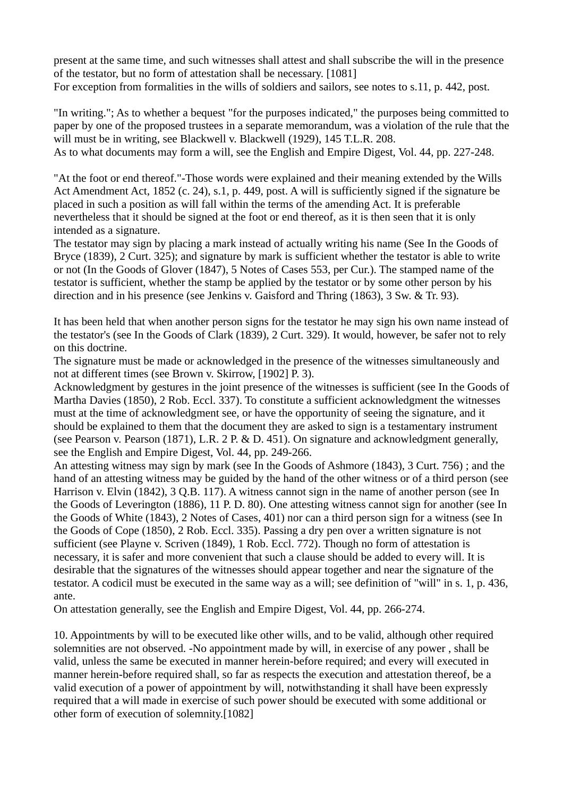present at the same time, and such witnesses shall attest and shall subscribe the will in the presence of the testator, but no form of attestation shall be necessary. [1081] For exception from formalities in the wills of soldiers and sailors, see notes to s.11, p. 442, post.

"In writing."; As to whether a bequest "for the purposes indicated," the purposes being committed to paper by one of the proposed trustees in a separate memorandum, was a violation of the rule that the will must be in writing, see Blackwell v. Blackwell (1929), 145 T.L.R. 208. As to what documents may form a will, see the English and Empire Digest, Vol. 44, pp. 227-248.

"At the foot or end thereof."-Those words were explained and their meaning extended by the Wills Act Amendment Act, 1852 (c. 24), s.1, p. 449, post. A will is sufficiently signed if the signature be placed in such a position as will fall within the terms of the amending Act. It is preferable nevertheless that it should be signed at the foot or end thereof, as it is then seen that it is only intended as a signature.

The testator may sign by placing a mark instead of actually writing his name (See In the Goods of Bryce (1839), 2 Curt. 325); and signature by mark is sufficient whether the testator is able to write or not (In the Goods of Glover (1847), 5 Notes of Cases 553, per Cur.). The stamped name of the testator is sufficient, whether the stamp be applied by the testator or by some other person by his direction and in his presence (see Jenkins v. Gaisford and Thring (1863), 3 Sw. & Tr. 93).

It has been held that when another person signs for the testator he may sign his own name instead of the testator's (see In the Goods of Clark (1839), 2 Curt. 329). It would, however, be safer not to rely on this doctrine.

The signature must be made or acknowledged in the presence of the witnesses simultaneously and not at different times (see Brown v. Skirrow, [1902] P. 3).

Acknowledgment by gestures in the joint presence of the witnesses is sufficient (see In the Goods of Martha Davies (1850), 2 Rob. Eccl. 337). To constitute a sufficient acknowledgment the witnesses must at the time of acknowledgment see, or have the opportunity of seeing the signature, and it should be explained to them that the document they are asked to sign is a testamentary instrument (see Pearson v. Pearson (1871), L.R. 2 P. & D. 451). On signature and acknowledgment generally, see the English and Empire Digest, Vol. 44, pp. 249-266.

An attesting witness may sign by mark (see In the Goods of Ashmore (1843), 3 Curt. 756) ; and the hand of an attesting witness may be guided by the hand of the other witness or of a third person (see Harrison v. Elvin (1842), 3 Q.B. 117). A witness cannot sign in the name of another person (see In the Goods of Leverington (1886), 11 P. D. 80). One attesting witness cannot sign for another (see In the Goods of White (1843), 2 Notes of Cases, 401) nor can a third person sign for a witness (see In the Goods of Cope (1850), 2 Rob. Eccl. 335). Passing a dry pen over a written signature is not sufficient (see Playne v. Scriven (1849), 1 Rob. Eccl. 772). Though no form of attestation is necessary, it is safer and more convenient that such a clause should be added to every will. It is desirable that the signatures of the witnesses should appear together and near the signature of the testator. A codicil must be executed in the same way as a will; see definition of "will" in s. 1, p. 436, ante.

On attestation generally, see the English and Empire Digest, Vol. 44, pp. 266-274.

10. Appointments by will to be executed like other wills, and to be valid, although other required solemnities are not observed. -No appointment made by will, in exercise of any power , shall be valid, unless the same be executed in manner herein-before required; and every will executed in manner herein-before required shall, so far as respects the execution and attestation thereof, be a valid execution of a power of appointment by will, notwithstanding it shall have been expressly required that a will made in exercise of such power should be executed with some additional or other form of execution of solemnity.[1082]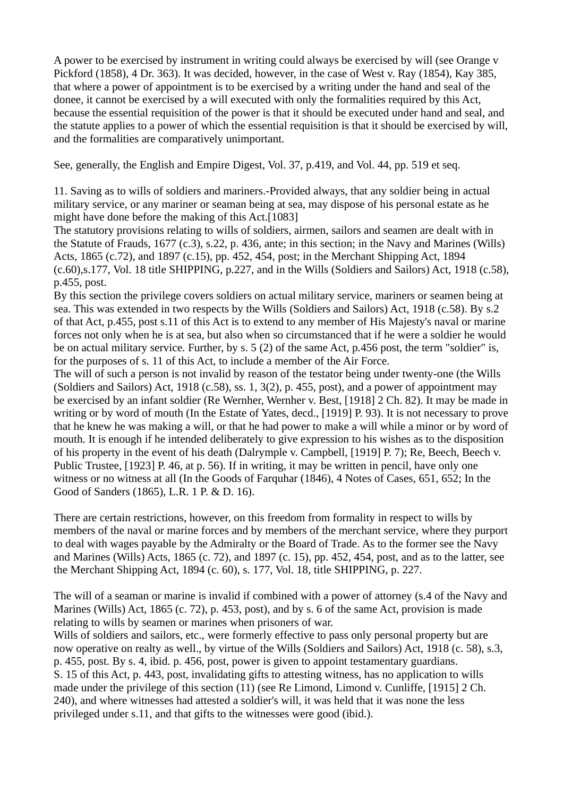A power to be exercised by instrument in writing could always be exercised by will (see Orange v Pickford (1858), 4 Dr. 363). It was decided, however, in the case of West v. Ray (1854), Kay 385, that where a power of appointment is to be exercised by a writing under the hand and seal of the donee, it cannot be exercised by a will executed with only the formalities required by this Act, because the essential requisition of the power is that it should be executed under hand and seal, and the statute applies to a power of which the essential requisition is that it should be exercised by will, and the formalities are comparatively unimportant.

See, generally, the English and Empire Digest, Vol. 37, p.419, and Vol. 44, pp. 519 et seq.

11. Saving as to wills of soldiers and mariners.-Provided always, that any soldier being in actual military service, or any mariner or seaman being at sea, may dispose of his personal estate as he might have done before the making of this Act.[1083]

The statutory provisions relating to wills of soldiers, airmen, sailors and seamen are dealt with in the Statute of Frauds, 1677 (c.3), s.22, p. 436, ante; in this section; in the Navy and Marines (Wills) Acts, 1865 (c.72), and 1897 (c.15), pp. 452, 454, post; in the Merchant Shipping Act, 1894 (c.60),s.177, Vol. 18 title SHIPPING, p.227, and in the Wills (Soldiers and Sailors) Act, 1918 (c.58), p.455, post.

By this section the privilege covers soldiers on actual military service, mariners or seamen being at sea. This was extended in two respects by the Wills (Soldiers and Sailors) Act, 1918 (c.58). By s.2 of that Act, p.455, post s.11 of this Act is to extend to any member of His Majesty's naval or marine forces not only when he is at sea, but also when so circumstanced that if he were a soldier he would be on actual military service. Further, by s. 5 (2) of the same Act, p.456 post, the term "soldier" is, for the purposes of s. 11 of this Act, to include a member of the Air Force.

The will of such a person is not invalid by reason of the testator being under twenty-one (the Wills (Soldiers and Sailors) Act, 1918 (c.58), ss. 1, 3(2), p. 455, post), and a power of appointment may be exercised by an infant soldier (Re Wernher, Wernher v. Best, [1918] 2 Ch. 82). It may be made in writing or by word of mouth (In the Estate of Yates, decd., [1919] P. 93). It is not necessary to prove that he knew he was making a will, or that he had power to make a will while a minor or by word of mouth. It is enough if he intended deliberately to give expression to his wishes as to the disposition of his property in the event of his death (Dalrymple v. Campbell, [1919] P. 7); Re, Beech, Beech v. Public Trustee, [1923] P. 46, at p. 56). If in writing, it may be written in pencil, have only one witness or no witness at all (In the Goods of Farquhar (1846), 4 Notes of Cases, 651, 652; In the Good of Sanders (1865), L.R. 1 P. & D. 16).

There are certain restrictions, however, on this freedom from formality in respect to wills by members of the naval or marine forces and by members of the merchant service, where they purport to deal with wages payable by the Admiralty or the Board of Trade. As to the former see the Navy and Marines (Wills) Acts, 1865 (c. 72), and 1897 (c. 15), pp. 452, 454, post, and as to the latter, see the Merchant Shipping Act, 1894 (c. 60), s. 177, Vol. 18, title SHIPPING, p. 227.

The will of a seaman or marine is invalid if combined with a power of attorney (s.4 of the Navy and Marines (Wills) Act, 1865 (c. 72), p. 453, post), and by s. 6 of the same Act, provision is made relating to wills by seamen or marines when prisoners of war.

Wills of soldiers and sailors, etc., were formerly effective to pass only personal property but are now operative on realty as well., by virtue of the Wills (Soldiers and Sailors) Act, 1918 (c. 58), s.3, p. 455, post. By s. 4, ibid. p. 456, post, power is given to appoint testamentary guardians. S. 15 of this Act, p. 443, post, invalidating gifts to attesting witness, has no application to wills made under the privilege of this section (11) (see Re Limond, Limond v. Cunliffe, [1915] 2 Ch. 240), and where witnesses had attested a soldier's will, it was held that it was none the less privileged under s.11, and that gifts to the witnesses were good (ibid.).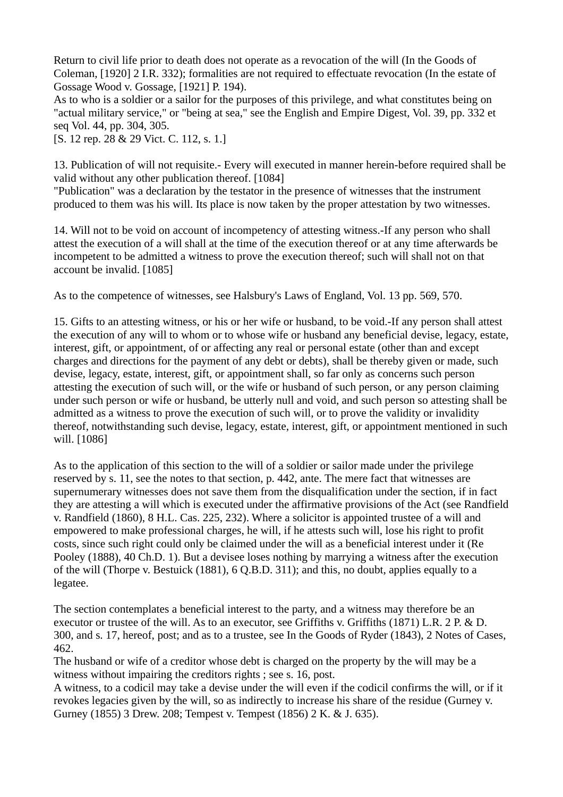Return to civil life prior to death does not operate as a revocation of the will (In the Goods of Coleman, [1920] 2 I.R. 332); formalities are not required to effectuate revocation (In the estate of Gossage Wood v. Gossage, [1921] P. 194).

As to who is a soldier or a sailor for the purposes of this privilege, and what constitutes being on "actual military service," or "being at sea," see the English and Empire Digest, Vol. 39, pp. 332 et seq Vol. 44, pp. 304, 305.

[S. 12 rep. 28 & 29 Vict. C. 112, s. 1.]

13. Publication of will not requisite.- Every will executed in manner herein-before required shall be valid without any other publication thereof. [1084]

"Publication" was a declaration by the testator in the presence of witnesses that the instrument produced to them was his will. Its place is now taken by the proper attestation by two witnesses.

14. Will not to be void on account of incompetency of attesting witness.-If any person who shall attest the execution of a will shall at the time of the execution thereof or at any time afterwards be incompetent to be admitted a witness to prove the execution thereof; such will shall not on that account be invalid. [1085]

As to the competence of witnesses, see Halsbury's Laws of England, Vol. 13 pp. 569, 570.

15. Gifts to an attesting witness, or his or her wife or husband, to be void.-If any person shall attest the execution of any will to whom or to whose wife or husband any beneficial devise, legacy, estate, interest, gift, or appointment, of or affecting any real or personal estate (other than and except charges and directions for the payment of any debt or debts), shall be thereby given or made, such devise, legacy, estate, interest, gift, or appointment shall, so far only as concerns such person attesting the execution of such will, or the wife or husband of such person, or any person claiming under such person or wife or husband, be utterly null and void, and such person so attesting shall be admitted as a witness to prove the execution of such will, or to prove the validity or invalidity thereof, notwithstanding such devise, legacy, estate, interest, gift, or appointment mentioned in such will. [1086]

As to the application of this section to the will of a soldier or sailor made under the privilege reserved by s. 11, see the notes to that section, p. 442, ante. The mere fact that witnesses are supernumerary witnesses does not save them from the disqualification under the section, if in fact they are attesting a will which is executed under the affirmative provisions of the Act (see Randfield v. Randfield (1860), 8 H.L. Cas. 225, 232). Where a solicitor is appointed trustee of a will and empowered to make professional charges, he will, if he attests such will, lose his right to profit costs, since such right could only be claimed under the will as a beneficial interest under it (Re Pooley (1888), 40 Ch.D. 1). But a devisee loses nothing by marrying a witness after the execution of the will (Thorpe v. Bestuick (1881), 6 Q.B.D. 311); and this, no doubt, applies equally to a legatee.

The section contemplates a beneficial interest to the party, and a witness may therefore be an executor or trustee of the will. As to an executor, see Griffiths v. Griffiths (1871) L.R. 2 P. & D. 300, and s. 17, hereof, post; and as to a trustee, see In the Goods of Ryder (1843), 2 Notes of Cases, 462.

The husband or wife of a creditor whose debt is charged on the property by the will may be a witness without impairing the creditors rights ; see s. 16, post.

A witness, to a codicil may take a devise under the will even if the codicil confirms the will, or if it revokes legacies given by the will, so as indirectly to increase his share of the residue (Gurney v. Gurney (1855) 3 Drew. 208; Tempest v. Tempest (1856) 2 K. & J. 635).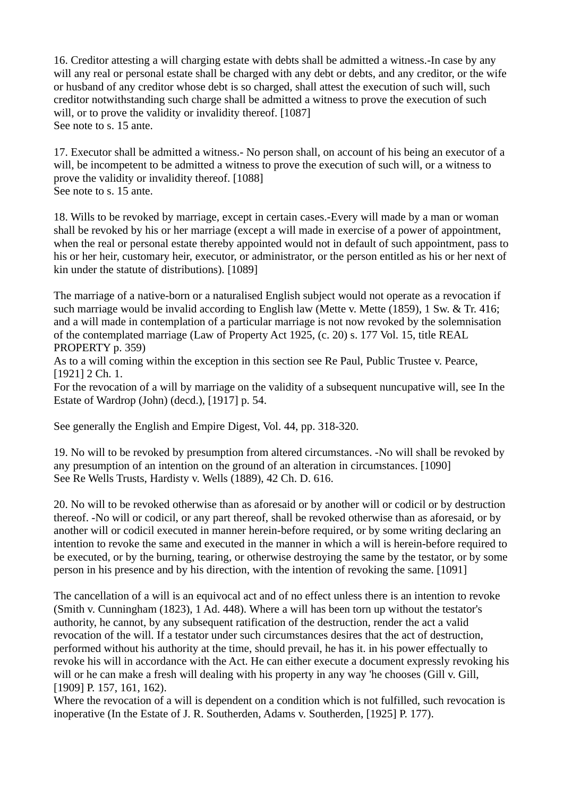16. Creditor attesting a will charging estate with debts shall be admitted a witness.-In case by any will any real or personal estate shall be charged with any debt or debts, and any creditor, or the wife or husband of any creditor whose debt is so charged, shall attest the execution of such will, such creditor notwithstanding such charge shall be admitted a witness to prove the execution of such will, or to prove the validity or invalidity thereof. [1087] See note to s. 15 ante.

17. Executor shall be admitted a witness.- No person shall, on account of his being an executor of a will, be incompetent to be admitted a witness to prove the execution of such will, or a witness to prove the validity or invalidity thereof. [1088] See note to s. 15 ante.

18. Wills to be revoked by marriage, except in certain cases.-Every will made by a man or woman shall be revoked by his or her marriage (except a will made in exercise of a power of appointment, when the real or personal estate thereby appointed would not in default of such appointment, pass to his or her heir, customary heir, executor, or administrator, or the person entitled as his or her next of kin under the statute of distributions). [1089]

The marriage of a native-born or a naturalised English subject would not operate as a revocation if such marriage would be invalid according to English law (Mette v. Mette (1859), 1 Sw. & Tr. 416; and a will made in contemplation of a particular marriage is not now revoked by the solemnisation of the contemplated marriage (Law of Property Act 1925, (c. 20) s. 177 Vol. 15, title REAL PROPERTY p. 359)

As to a will coming within the exception in this section see Re Paul, Public Trustee v. Pearce, [1921] 2 Ch. 1.

For the revocation of a will by marriage on the validity of a subsequent nuncupative will, see In the Estate of Wardrop (John) (decd.), [1917] p. 54.

See generally the English and Empire Digest, Vol. 44, pp. 318-320.

19. No will to be revoked by presumption from altered circumstances. -No will shall be revoked by any presumption of an intention on the ground of an alteration in circumstances. [1090] See Re Wells Trusts, Hardisty v. Wells (1889), 42 Ch. D. 616.

20. No will to be revoked otherwise than as aforesaid or by another will or codicil or by destruction thereof. -No will or codicil, or any part thereof, shall be revoked otherwise than as aforesaid, or by another will or codicil executed in manner herein-before required, or by some writing declaring an intention to revoke the same and executed in the manner in which a will is herein-before required to be executed, or by the burning, tearing, or otherwise destroying the same by the testator, or by some person in his presence and by his direction, with the intention of revoking the same. [1091]

The cancellation of a will is an equivocal act and of no effect unless there is an intention to revoke (Smith v. Cunningham (1823), 1 Ad. 448). Where a will has been torn up without the testator's authority, he cannot, by any subsequent ratification of the destruction, render the act a valid revocation of the will. If a testator under such circumstances desires that the act of destruction, performed without his authority at the time, should prevail, he has it. in his power effectually to revoke his will in accordance with the Act. He can either execute a document expressly revoking his will or he can make a fresh will dealing with his property in any way 'he chooses (Gill v. Gill, [1909] P. 157, 161, 162).

Where the revocation of a will is dependent on a condition which is not fulfilled, such revocation is inoperative (In the Estate of J. R. Southerden, Adams v. Southerden, [1925] P. 177).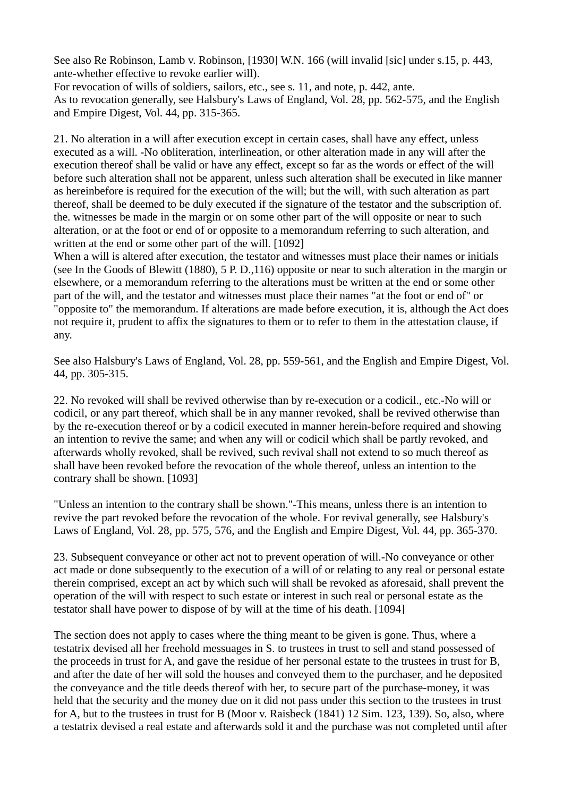See also Re Robinson, Lamb v. Robinson, [1930] W.N. 166 (will invalid [sic] under s.15, p. 443, ante-whether effective to revoke earlier will).

For revocation of wills of soldiers, sailors, etc., see s. 11, and note, p. 442, ante. As to revocation generally, see Halsbury's Laws of England, Vol. 28, pp. 562-575, and the English and Empire Digest, Vol. 44, pp. 315-365.

21. No alteration in a will after execution except in certain cases, shall have any effect, unless executed as a will. -No obliteration, interlineation, or other alteration made in any will after the execution thereof shall be valid or have any effect, except so far as the words or effect of the will before such alteration shall not be apparent, unless such alteration shall be executed in like manner as hereinbefore is required for the execution of the will; but the will, with such alteration as part thereof, shall be deemed to be duly executed if the signature of the testator and the subscription of. the. witnesses be made in the margin or on some other part of the will opposite or near to such alteration, or at the foot or end of or opposite to a memorandum referring to such alteration, and written at the end or some other part of the will. [1092]

When a will is altered after execution, the testator and witnesses must place their names or initials (see In the Goods of Blewitt (1880), 5 P. D.,116) opposite or near to such alteration in the margin or elsewhere, or a memorandum referring to the alterations must be written at the end or some other part of the will, and the testator and witnesses must place their names "at the foot or end of" or "opposite to" the memorandum. If alterations are made before execution, it is, although the Act does not require it, prudent to affix the signatures to them or to refer to them in the attestation clause, if any.

See also Halsbury's Laws of England, Vol. 28, pp. 559-561, and the English and Empire Digest, Vol. 44, pp. 305-315.

22. No revoked will shall be revived otherwise than by re-execution or a codicil., etc.-No will or codicil, or any part thereof, which shall be in any manner revoked, shall be revived otherwise than by the re-execution thereof or by a codicil executed in manner herein-before required and showing an intention to revive the same; and when any will or codicil which shall be partly revoked, and afterwards wholly revoked, shall be revived, such revival shall not extend to so much thereof as shall have been revoked before the revocation of the whole thereof, unless an intention to the contrary shall be shown. [1093]

"Unless an intention to the contrary shall be shown."-This means, unless there is an intention to revive the part revoked before the revocation of the whole. For revival generally, see Halsbury's Laws of England, Vol. 28, pp. 575, 576, and the English and Empire Digest, Vol. 44, pp. 365-370.

23. Subsequent conveyance or other act not to prevent operation of will.-No conveyance or other act made or done subsequently to the execution of a will of or relating to any real or personal estate therein comprised, except an act by which such will shall be revoked as aforesaid, shall prevent the operation of the will with respect to such estate or interest in such real or personal estate as the testator shall have power to dispose of by will at the time of his death. [1094]

The section does not apply to cases where the thing meant to be given is gone. Thus, where a testatrix devised all her freehold messuages in S. to trustees in trust to sell and stand possessed of the proceeds in trust for A, and gave the residue of her personal estate to the trustees in trust for B, and after the date of her will sold the houses and conveyed them to the purchaser, and he deposited the conveyance and the title deeds thereof with her, to secure part of the purchase-money, it was held that the security and the money due on it did not pass under this section to the trustees in trust for A, but to the trustees in trust for B (Moor v. Raisbeck (1841) 12 Sim. 123, 139). So, also, where a testatrix devised a real estate and afterwards sold it and the purchase was not completed until after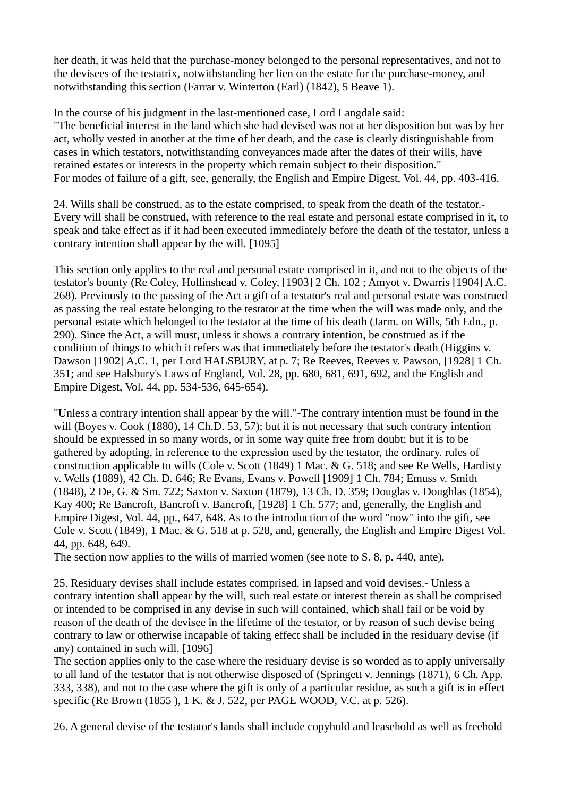her death, it was held that the purchase-money belonged to the personal representatives, and not to the devisees of the testatrix, notwithstanding her lien on the estate for the purchase-money, and notwithstanding this section (Farrar v. Winterton (Earl) (1842), 5 Beave 1).

In the course of his judgment in the last-mentioned case, Lord Langdale said: "The beneficial interest in the land which she had devised was not at her disposition but was by her act, wholly vested in another at the time of her death, and the case is clearly distinguishable from cases in which testators, notwithstanding conveyances made after the dates of their wills, have retained estates or interests in the property which remain subject to their disposition." For modes of failure of a gift, see, generally, the English and Empire Digest, Vol. 44, pp. 403-416.

24. Wills shall be construed, as to the estate comprised, to speak from the death of the testator.- Every will shall be construed, with reference to the real estate and personal estate comprised in it, to speak and take effect as if it had been executed immediately before the death of the testator, unless a contrary intention shall appear by the will. [1095]

This section only applies to the real and personal estate comprised in it, and not to the objects of the testator's bounty (Re Coley, Hollinshead v. Coley, [1903] 2 Ch. 102 ; Amyot v. Dwarris [1904] A.C. 268). Previously to the passing of the Act a gift of a testator's real and personal estate was construed as passing the real estate belonging to the testator at the time when the will was made only, and the personal estate which belonged to the testator at the time of his death (Jarm. on Wills, 5th Edn., p. 290). Since the Act, a will must, unless it shows a contrary intention, be construed as if the condition of things to which it refers was that immediately before the testator's death (Higgins v. Dawson [1902] A.C. 1, per Lord HALSBURY, at p. 7; Re Reeves, Reeves v. Pawson, [1928] 1 Ch. 351; and see Halsbury's Laws of England, Vol. 28, pp. 680, 681, 691, 692, and the English and Empire Digest, Vol. 44, pp. 534-536, 645-654).

"Unless a contrary intention shall appear by the will."-The contrary intention must be found in the will (Boyes v. Cook (1880), 14 Ch.D. 53, 57); but it is not necessary that such contrary intention should be expressed in so many words, or in some way quite free from doubt; but it is to be gathered by adopting, in reference to the expression used by the testator, the ordinary. rules of construction applicable to wills (Cole v. Scott (1849) 1 Mac. & G. 518; and see Re Wells, Hardisty v. Wells (1889), 42 Ch. D. 646; Re Evans, Evans v. Powell [1909] 1 Ch. 784; Emuss v. Smith (1848), 2 De, G. & Sm. 722; Saxton v. Saxton (1879), 13 Ch. D. 359; Douglas v. Doughlas (1854), Kay 400; Re Bancroft, Bancroft v. Bancroft, [1928] 1 Ch. 577; and, generally, the English and Empire Digest, Vol. 44, pp., 647, 648. As to the introduction of the word "now" into the gift, see Cole v. Scott (1849), 1 Mac. & G. 518 at p. 528, and, generally, the English and Empire Digest Vol. 44, pp. 648, 649.

The section now applies to the wills of married women (see note to S. 8, p. 440, ante).

25. Residuary devises shall include estates comprised. in lapsed and void devises.- Unless a contrary intention shall appear by the will, such real estate or interest therein as shall be comprised or intended to be comprised in any devise in such will contained, which shall fail or be void by reason of the death of the devisee in the lifetime of the testator, or by reason of such devise being contrary to law or otherwise incapable of taking effect shall be included in the residuary devise (if any) contained in such will. [1096]

The section applies only to the case where the residuary devise is so worded as to apply universally to all land of the testator that is not otherwise disposed of (Springett v. Jennings (1871), 6 Ch. App. 333, 338), and not to the case where the gift is only of a particular residue, as such a gift is in effect specific (Re Brown (1855 ), 1 K. & J. 522, per PAGE WOOD, V.C. at p. 526).

26. A general devise of the testator's lands shall include copyhold and leasehold as well as freehold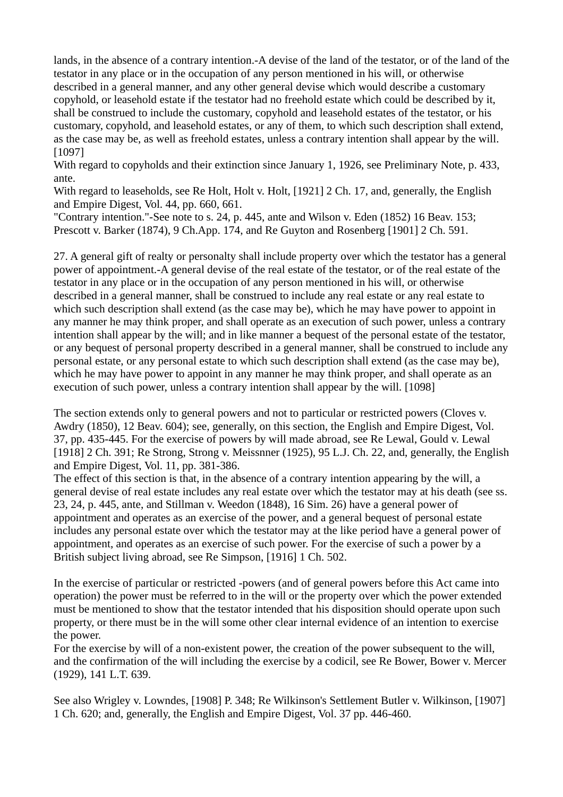lands, in the absence of a contrary intention.-A devise of the land of the testator, or of the land of the testator in any place or in the occupation of any person mentioned in his will, or otherwise described in a general manner, and any other general devise which would describe a customary copyhold, or leasehold estate if the testator had no freehold estate which could be described by it, shall be construed to include the customary, copyhold and leasehold estates of the testator, or his customary, copyhold, and leasehold estates, or any of them, to which such description shall extend, as the case may be, as well as freehold estates, unless a contrary intention shall appear by the will. [1097]

With regard to copyholds and their extinction since January 1, 1926, see Preliminary Note, p. 433, ante.

With regard to leaseholds, see Re Holt, Holt v. Holt, [1921] 2 Ch. 17, and, generally, the English and Empire Digest, Vol. 44, pp. 660, 661.

"Contrary intention."-See note to s. 24, p. 445, ante and Wilson v. Eden (1852) 16 Beav. 153; Prescott v. Barker (1874), 9 Ch.App. 174, and Re Guyton and Rosenberg [1901] 2 Ch. 591.

27. A general gift of realty or personalty shall include property over which the testator has a general power of appointment.-A general devise of the real estate of the testator, or of the real estate of the testator in any place or in the occupation of any person mentioned in his will, or otherwise described in a general manner, shall be construed to include any real estate or any real estate to which such description shall extend (as the case may be), which he may have power to appoint in any manner he may think proper, and shall operate as an execution of such power, unless a contrary intention shall appear by the will; and in like manner a bequest of the personal estate of the testator, or any bequest of personal property described in a general manner, shall be construed to include any personal estate, or any personal estate to which such description shall extend (as the case may be), which he may have power to appoint in any manner he may think proper, and shall operate as an execution of such power, unless a contrary intention shall appear by the will. [1098]

The section extends only to general powers and not to particular or restricted powers (Cloves v. Awdry (1850), 12 Beav. 604); see, generally, on this section, the English and Empire Digest, Vol. 37, pp. 435-445. For the exercise of powers by will made abroad, see Re Lewal, Gould v. Lewal [1918] 2 Ch. 391; Re Strong, Strong v. Meissnner (1925), 95 L.J. Ch. 22, and, generally, the English and Empire Digest, Vol. 11, pp. 381-386.

The effect of this section is that, in the absence of a contrary intention appearing by the will, a general devise of real estate includes any real estate over which the testator may at his death (see ss. 23, 24, p. 445, ante, and Stillman v. Weedon (1848), 16 Sim. 26) have a general power of appointment and operates as an exercise of the power, and a general bequest of personal estate includes any personal estate over which the testator may at the like period have a general power of appointment, and operates as an exercise of such power. For the exercise of such a power by a British subject living abroad, see Re Simpson, [1916] 1 Ch. 502.

In the exercise of particular or restricted -powers (and of general powers before this Act came into operation) the power must be referred to in the will or the property over which the power extended must be mentioned to show that the testator intended that his disposition should operate upon such property, or there must be in the will some other clear internal evidence of an intention to exercise the power.

For the exercise by will of a non-existent power, the creation of the power subsequent to the will, and the confirmation of the will including the exercise by a codicil, see Re Bower, Bower v. Mercer (1929), 141 L.T. 639.

See also Wrigley v. Lowndes, [1908] P. 348; Re Wilkinson's Settlement Butler v. Wilkinson, [1907] 1 Ch. 620; and, generally, the English and Empire Digest, Vol. 37 pp. 446-460.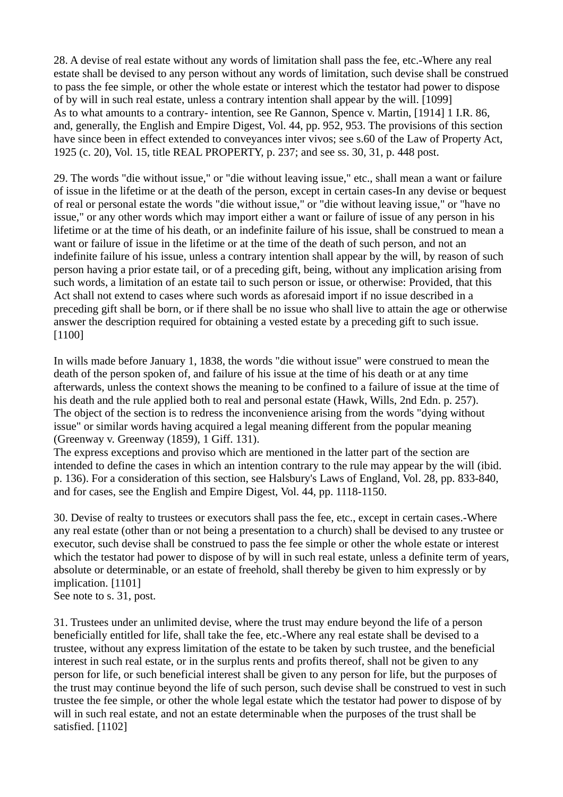28. A devise of real estate without any words of limitation shall pass the fee, etc.-Where any real estate shall be devised to any person without any words of limitation, such devise shall be construed to pass the fee simple, or other the whole estate or interest which the testator had power to dispose of by will in such real estate, unless a contrary intention shall appear by the will. [1099] As to what amounts to a contrary- intention, see Re Gannon, Spence v. Martin, [1914] 1 I.R. 86, and, generally, the English and Empire Digest, Vol. 44, pp. 952, 953. The provisions of this section have since been in effect extended to conveyances inter vivos; see s.60 of the Law of Property Act, 1925 (c. 20), Vol. 15, title REAL PROPERTY, p. 237; and see ss. 30, 31, p. 448 post.

29. The words "die without issue," or "die without leaving issue," etc., shall mean a want or failure of issue in the lifetime or at the death of the person, except in certain cases-In any devise or bequest of real or personal estate the words "die without issue," or "die without leaving issue," or "have no issue," or any other words which may import either a want or failure of issue of any person in his lifetime or at the time of his death, or an indefinite failure of his issue, shall be construed to mean a want or failure of issue in the lifetime or at the time of the death of such person, and not an indefinite failure of his issue, unless a contrary intention shall appear by the will, by reason of such person having a prior estate tail, or of a preceding gift, being, without any implication arising from such words, a limitation of an estate tail to such person or issue, or otherwise: Provided, that this Act shall not extend to cases where such words as aforesaid import if no issue described in a preceding gift shall be born, or if there shall be no issue who shall live to attain the age or otherwise answer the description required for obtaining a vested estate by a preceding gift to such issue. [1100]

In wills made before January 1, 1838, the words "die without issue" were construed to mean the death of the person spoken of, and failure of his issue at the time of his death or at any time afterwards, unless the context shows the meaning to be confined to a failure of issue at the time of his death and the rule applied both to real and personal estate (Hawk, Wills, 2nd Edn. p. 257). The object of the section is to redress the inconvenience arising from the words "dying without issue" or similar words having acquired a legal meaning different from the popular meaning (Greenway v. Greenway (1859), 1 Giff. 131).

The express exceptions and proviso which are mentioned in the latter part of the section are intended to define the cases in which an intention contrary to the rule may appear by the will (ibid. p. 136). For a consideration of this section, see Halsbury's Laws of England, Vol. 28, pp. 833-840, and for cases, see the English and Empire Digest, Vol. 44, pp. 1118-1150.

30. Devise of realty to trustees or executors shall pass the fee, etc., except in certain cases.-Where any real estate (other than or not being a presentation to a church) shall be devised to any trustee or executor, such devise shall be construed to pass the fee simple or other the whole estate or interest which the testator had power to dispose of by will in such real estate, unless a definite term of years, absolute or determinable, or an estate of freehold, shall thereby be given to him expressly or by implication. [1101] See note to s. 31, post.

31. Trustees under an unlimited devise, where the trust may endure beyond the life of a person beneficially entitled for life, shall take the fee, etc.-Where any real estate shall be devised to a trustee, without any express limitation of the estate to be taken by such trustee, and the beneficial interest in such real estate, or in the surplus rents and profits thereof, shall not be given to any person for life, or such beneficial interest shall be given to any person for life, but the purposes of the trust may continue beyond the life of such person, such devise shall be construed to vest in such trustee the fee simple, or other the whole legal estate which the testator had power to dispose of by will in such real estate, and not an estate determinable when the purposes of the trust shall be satisfied. [1102]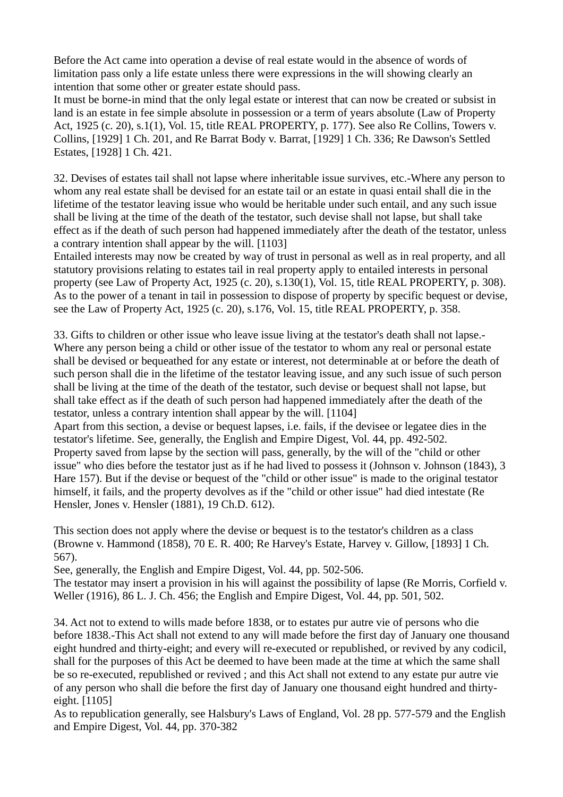Before the Act came into operation a devise of real estate would in the absence of words of limitation pass only a life estate unless there were expressions in the will showing clearly an intention that some other or greater estate should pass.

It must be borne-in mind that the only legal estate or interest that can now be created or subsist in land is an estate in fee simple absolute in possession or a term of years absolute (Law of Property Act, 1925 (c. 20), s.1(1), Vol. 15, title REAL PROPERTY, p. 177). See also Re Collins, Towers v. Collins, [1929] 1 Ch. 201, and Re Barrat Body v. Barrat, [1929] 1 Ch. 336; Re Dawson's Settled Estates, [1928] 1 Ch. 421.

32. Devises of estates tail shall not lapse where inheritable issue survives, etc.-Where any person to whom any real estate shall be devised for an estate tail or an estate in quasi entail shall die in the lifetime of the testator leaving issue who would be heritable under such entail, and any such issue shall be living at the time of the death of the testator, such devise shall not lapse, but shall take effect as if the death of such person had happened immediately after the death of the testator, unless a contrary intention shall appear by the will. [1103]

Entailed interests may now be created by way of trust in personal as well as in real property, and all statutory provisions relating to estates tail in real property apply to entailed interests in personal property (see Law of Property Act, 1925 (c. 20), s.130(1), Vol. 15, title REAL PROPERTY, p. 308). As to the power of a tenant in tail in possession to dispose of property by specific bequest or devise, see the Law of Property Act, 1925 (c. 20), s.176, Vol. 15, title REAL PROPERTY, p. 358.

33. Gifts to children or other issue who leave issue living at the testator's death shall not lapse.- Where any person being a child or other issue of the testator to whom any real or personal estate shall be devised or bequeathed for any estate or interest, not determinable at or before the death of such person shall die in the lifetime of the testator leaving issue, and any such issue of such person shall be living at the time of the death of the testator, such devise or bequest shall not lapse, but shall take effect as if the death of such person had happened immediately after the death of the testator, unless a contrary intention shall appear by the will. [1104]

Apart from this section, a devise or bequest lapses, i.e. fails, if the devisee or legatee dies in the testator's lifetime. See, generally, the English and Empire Digest, Vol. 44, pp. 492-502. Property saved from lapse by the section will pass, generally, by the will of the "child or other issue" who dies before the testator just as if he had lived to possess it (Johnson v. Johnson (1843), 3 Hare 157). But if the devise or bequest of the "child or other issue" is made to the original testator himself, it fails, and the property devolves as if the "child or other issue" had died intestate (Re Hensler, Jones v. Hensler (1881), 19 Ch.D. 612).

This section does not apply where the devise or bequest is to the testator's children as a class (Browne v. Hammond (1858), 70 E. R. 400; Re Harvey's Estate, Harvey v. Gillow, [1893] 1 Ch. 567).

See, generally, the English and Empire Digest, Vol. 44, pp. 502-506.

The testator may insert a provision in his will against the possibility of lapse (Re Morris, Corfield v. Weller (1916), 86 L. J. Ch. 456; the English and Empire Digest, Vol. 44, pp. 501, 502.

34. Act not to extend to wills made before 1838, or to estates pur autre vie of persons who die before 1838.-This Act shall not extend to any will made before the first day of January one thousand eight hundred and thirty-eight; and every will re-executed or republished, or revived by any codicil, shall for the purposes of this Act be deemed to have been made at the time at which the same shall be so re-executed, republished or revived ; and this Act shall not extend to any estate pur autre vie of any person who shall die before the first day of January one thousand eight hundred and thirtyeight. [1105]

As to republication generally, see Halsbury's Laws of England, Vol. 28 pp. 577-579 and the English and Empire Digest, Vol. 44, pp. 370-382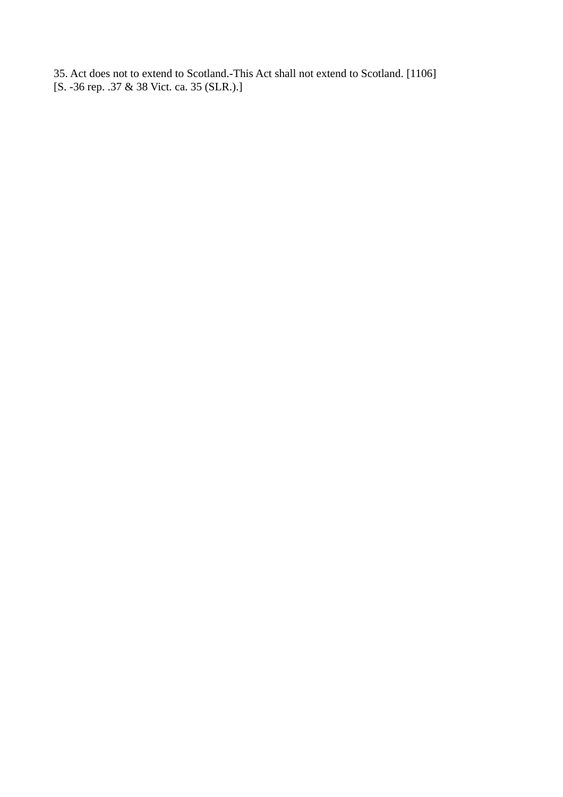35. Act does not to extend to Scotland.-This Act shall not extend to Scotland. [1106] [S. -36 rep. .37 & 38 Vict. ca. 35 (SLR.).]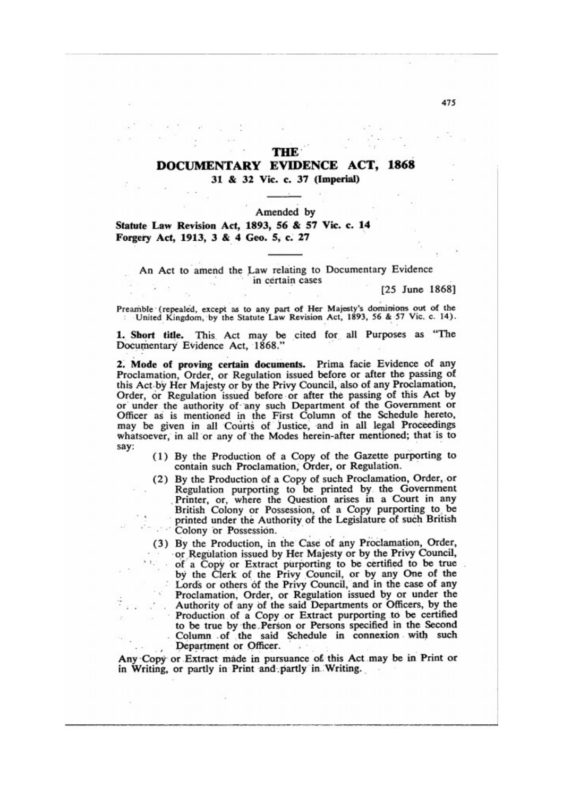### THE

#### ACT. 1868 DOCUMENTARY EVIDENCE 31 & 32 Vic. c. 37 (Imperial)

Amended by

Statute Law Revision Act, 1893, 56 & 57 Vic. c. 14 Forgery Act, 1913, 3 & 4 Geo. 5, c. 27

 $\lambda_{\rm A}$ 

An Act to amend the Law relating to Documentary Evidence in certain cases

 $[25 \text{ June } 1868]$ 

Preamble (repealed, except as to any part of Her Majesty's dominions out of the<br>United Kingdom, by the Statute Law Revision Act, 1893, 56 & 57 Vic. c. 14).

1. Short title. This Act may be cited for all Purposes as "The Documentary Evidence Act, 1868.'

2. Mode of proving certain documents. Prima facie Evidence of any Proclamation, Order, or Regulation issued before or after the passing of this Act by Her Majesty or by the Privy Council, also of any Proclamation, Order, or Regulation issued before or after the passing of this Act by or under the authority of any such Department of the Government or Officer as is mentioned in the First Column of the Schedule hereto, may be given in all Courts of Justice, and in all legal Proceedings whatsoever, in all or any of the Modes herein-after mentioned; that is to say:

- (1) By the Production of a Copy of the Gazette purporting to contain such Proclamation, Order, or Regulation.
- (2) By the Production of a Copy of such Proclamation, Order, or Regulation purporting to be printed by the Government Printer, or, where the Question arises in a Court in any British Colony or Possession, of a Copy purporting to be printed under the Authority of the Legislature of such British Colony or Possession.
- (3) By the Production, in the Case of any Proclamation, Order, or Regulation issued by Her Majesty or by the Privy Council, of a Copy or Extract purporting to be certified to be true by the Clerk of the Privy Council, or by any One of the Lords or others of the Privy Council, and in the case of any Proclamation, Order, or Regulation issued by or under the Authority of any of the said Departments or Officers, by the Production of a Copy or Extract purporting to be certified to be true by the Person or Persons specified in the Second Column of the said Schedule in connexion with such Department or Officer.

Any Copy or Extract made in pursuance of this Act may be in Print or in Writing, or partly in Print and partly in Writing.

475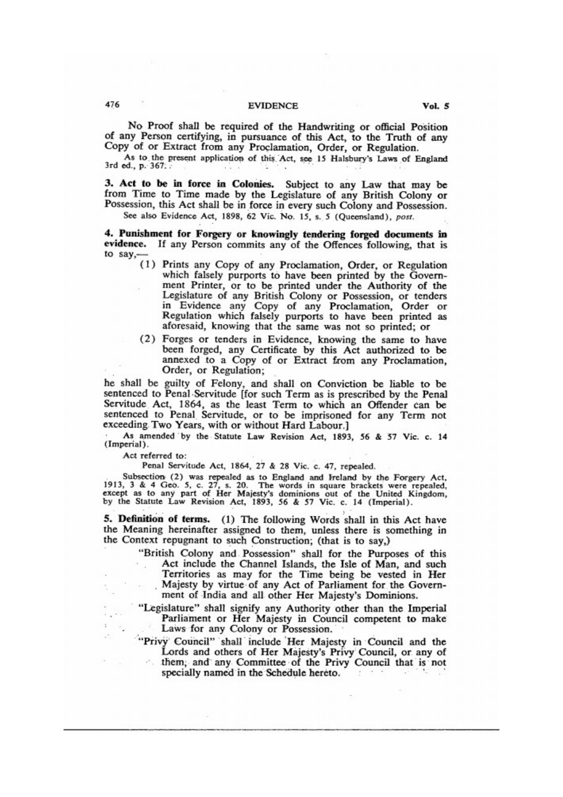No Proof shall be required of the Handwriting or official Position of any Person certifying, in pursuance of this Act, to the Truth of any Copy of or Extract from any Proclamation, Order, or Regulation.

As to the present application of this Act, see 15 Halsbury's Laws of England 3rd ed., p. 367.

3. Act to be in force in Colonies. Subject to any Law that may be from Time to Time made by the Legislature of any British Colony or Possession, this Act shall be in force in every such Colony and Possession.

See also Evidence Act, 1898, 62 Vic. No. 15, s. 5 (Queensland), post.

4. Punishment for Forgery or knowingly tendering forged documents in evidence. If any Person commits any of the Offences following, that is to say,

- (1) Prints any Copy of any Proclamation, Order, or Regulation which falsely purports to have been printed by the Government Printer, or to be printed under the Authority of the Legislature of any British Colony or Possession, or tenders in Evidence any Copy of any Proclamation, Order or Regulation which falsely purports to have been printed as aforesaid, knowing that the same was not so printed; or
- (2) Forges or tenders in Evidence, knowing the same to have been forged, any Certificate by this Act authorized to be annexed to a Copy of or Extract from any Proclamation, Order, or Regulation;

he shall be guilty of Felony, and shall on Conviction be liable to be sentenced to Penal Servitude [for such Term as is prescribed by the Penal Servitude Act, 1864, as the least Term to which an Offender can be sentenced to Penal Servitude, or to be imprisoned for any Term not exceeding Two Years, with or without Hard Labour.]

As amended by the Statute Law Revision Act, 1893, 56 & 57 Vic. c. 14 (Imperial).

Act referred to:

Penal Servitude Act, 1864, 27 & 28 Vic. c. 47, repealed.

Subsection (2) was repealed as to England and Ireland by the Forgery Act, 1913, 3 & 4 Geo. 5, c. 27, s. 20. The words in square brackets were repealed, except as to any part of Her Majesty's dominions out of the United Ki

5. Definition of terms. (1) The following Words shall in this Act have the Meaning hereinafter assigned to them, unless there is something in the Context repugnant to such Construction; (that is to say,)

- "British Colony and Possession" shall for the Purposes of this Act include the Channel Islands, the Isle of Man, and such Territories as may for the Time being be vested in Her Majesty by virtue of any Act of Parliament for the Government of India and all other Her Majesty's Dominions.
- "Legislature" shall signify any Authority other than the Imperial Parliament or Her Majesty in Council competent to make Laws for any Colony or Possession.
- "Privy Council" shall include Her Majesty in Council and the Lords and others of Her Majesty's Privy Council, or any of them, and any Committee of the Privy Council that is not specially named in the Schedule hereto.